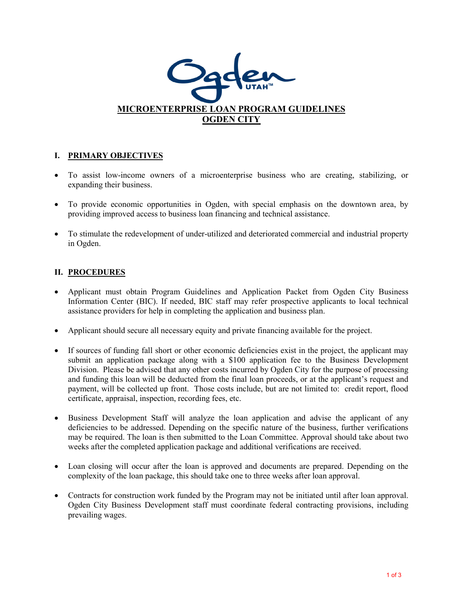

## **I. PRIMARY OBJECTIVES**

- To assist low-income owners of a microenterprise business who are creating, stabilizing, or expanding their business.
- To provide economic opportunities in Ogden, with special emphasis on the downtown area, by providing improved access to business loan financing and technical assistance.
- To stimulate the redevelopment of under-utilized and deteriorated commercial and industrial property in Ogden.

## **II. PROCEDURES**

- Applicant must obtain Program Guidelines and Application Packet from Ogden City Business Information Center (BIC). If needed, BIC staff may refer prospective applicants to local technical assistance providers for help in completing the application and business plan.
- Applicant should secure all necessary equity and private financing available for the project.
- If sources of funding fall short or other economic deficiencies exist in the project, the applicant may submit an application package along with a \$100 application fee to the Business Development Division. Please be advised that any other costs incurred by Ogden City for the purpose of processing and funding this loan will be deducted from the final loan proceeds, or at the applicant's request and payment, will be collected up front. Those costs include, but are not limited to: credit report, flood certificate, appraisal, inspection, recording fees, etc.
- Business Development Staff will analyze the loan application and advise the applicant of any deficiencies to be addressed. Depending on the specific nature of the business, further verifications may be required. The loan is then submitted to the Loan Committee. Approval should take about two weeks after the completed application package and additional verifications are received.
- Loan closing will occur after the loan is approved and documents are prepared. Depending on the complexity of the loan package, this should take one to three weeks after loan approval.
- Contracts for construction work funded by the Program may not be initiated until after loan approval. Ogden City Business Development staff must coordinate federal contracting provisions, including prevailing wages.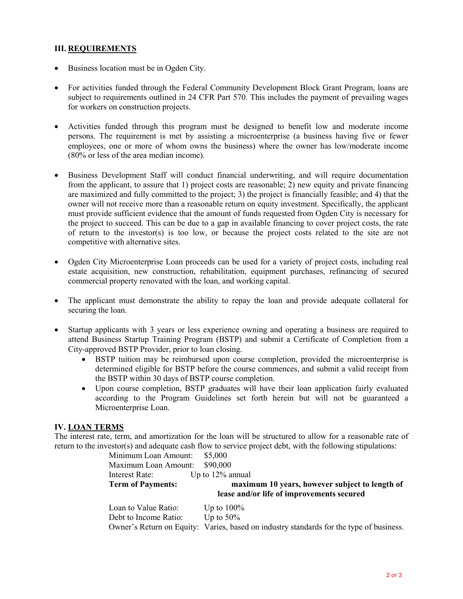## **III. REQUIREMENTS**

- Business location must be in Ogden City.
- For activities funded through the Federal Community Development Block Grant Program, loans are subject to requirements outlined in 24 CFR Part 570. This includes the payment of prevailing wages for workers on construction projects.
- Activities funded through this program must be designed to benefit low and moderate income persons. The requirement is met by assisting a microenterprise (a business having five or fewer employees, one or more of whom owns the business) where the owner has low/moderate income (80% or less of the area median income).
- Business Development Staff will conduct financial underwriting, and will require documentation from the applicant, to assure that 1) project costs are reasonable; 2) new equity and private financing are maximized and fully committed to the project; 3) the project is financially feasible; and 4) that the owner will not receive more than a reasonable return on equity investment. Specifically, the applicant must provide sufficient evidence that the amount of funds requested from Ogden City is necessary for the project to succeed. This can be due to a gap in available financing to cover project costs, the rate of return to the investor(s) is too low, or because the project costs related to the site are not competitive with alternative sites.
- Ogden City Microenterprise Loan proceeds can be used for a variety of project costs, including real estate acquisition, new construction, rehabilitation, equipment purchases, refinancing of secured commercial property renovated with the loan, and working capital.
- The applicant must demonstrate the ability to repay the loan and provide adequate collateral for securing the loan.
- Startup applicants with 3 years or less experience owning and operating a business are required to attend Business Startup Training Program (BSTP) and submit a Certificate of Completion from a City-approved BSTP Provider, prior to loan closing.
	- BSTP tuition may be reimbursed upon course completion, provided the microenterprise is determined eligible for BSTP before the course commences, and submit a valid receipt from the BSTP within 30 days of BSTP course completion.
	- Upon course completion, BSTP graduates will have their loan application fairly evaluated according to the Program Guidelines set forth herein but will not be guaranteed a Microenterprise Loan.

## **IV. LOAN TERMS**

The interest rate, term, and amortization for the loan will be structured to allow for a reasonable rate of return to the investor(s) and adequate cash flow to service project debt, with the following stipulations:

| Minimum Loan Amount:     | \$5,000                                        |
|--------------------------|------------------------------------------------|
| Maximum Loan Amount:     | \$90,000                                       |
| Interest Rate:           | Up to $12\%$ annual                            |
| <b>Term of Payments:</b> | maximum 10 years, however subject to length of |
|                          | lease and/or life of improvements secured      |
|                          |                                                |
| Loan to Value Ratio:     | Up to $100\%$                                  |
| Debt to Income Ratio:    | Up to $50\%$                                   |